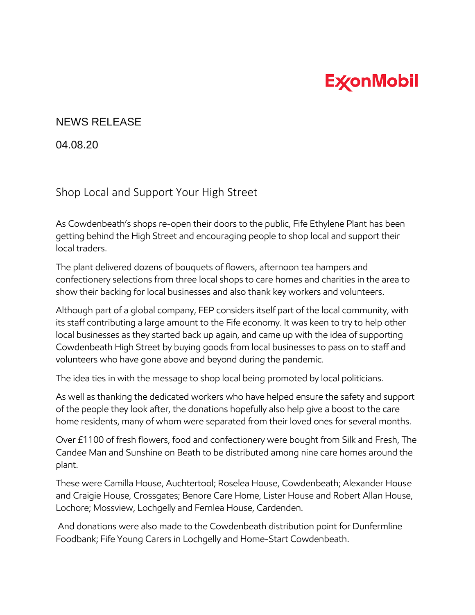## **ExconMobil**

## NEWS RELEASE

04.08.20

## Shop Local and Support Your High Street

As Cowdenbeath's shops re-open their doors to the public, Fife Ethylene Plant has been getting behind the High Street and encouraging people to shop local and support their local traders.

The plant delivered dozens of bouquets of flowers, afternoon tea hampers and confectionery selections from three local shops to care homes and charities in the area to show their backing for local businesses and also thank key workers and volunteers.

Although part of a global company, FEP considers itself part of the local community, with its staff contributing a large amount to the Fife economy. It was keen to try to help other local businesses as they started back up again, and came up with the idea of supporting Cowdenbeath High Street by buying goods from local businesses to pass on to staff and volunteers who have gone above and beyond during the pandemic.

The idea ties in with the message to shop local being promoted by local politicians.

As well as thanking the dedicated workers who have helped ensure the safety and support of the people they look after, the donations hopefully also help give a boost to the care home residents, many of whom were separated from their loved ones for several months.

Over £1100 of fresh flowers, food and confectionery were bought from Silk and Fresh, The Candee Man and Sunshine on Beath to be distributed among nine care homes around the plant.

These were Camilla House, Auchtertool; Roselea House, Cowdenbeath; Alexander House and Craigie House, Crossgates; Benore Care Home, Lister House and Robert Allan House, Lochore; Mossview, Lochgelly and Fernlea House, Cardenden.

And donations were also made to the Cowdenbeath distribution point for Dunfermline Foodbank; Fife Young Carers in Lochgelly and Home-Start Cowdenbeath.